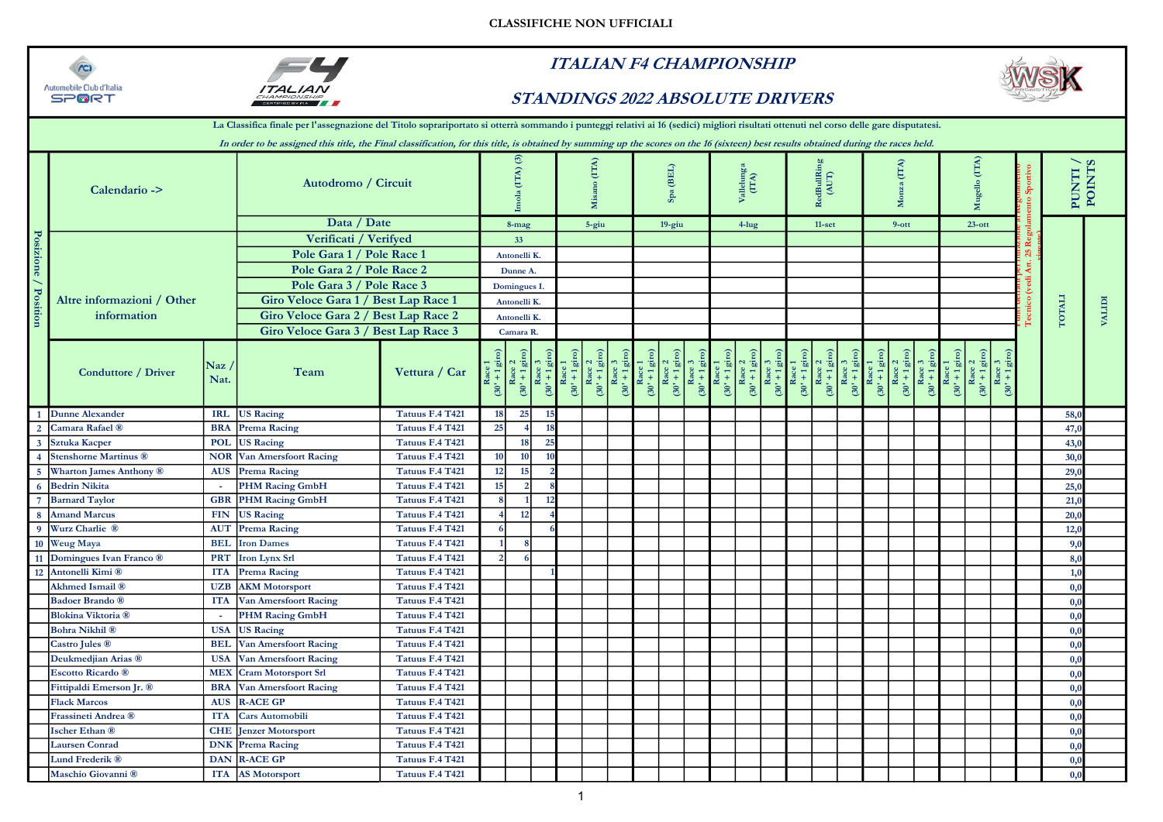



## ITALIAN F4 CHAMPIONSHIP





|                         |                              |                                   | La Classifica finale per l'assegnazione del Titolo soprariportato si otterrà sommando i punteggi relativi ai 16 (sedici) migliori risultati ottenuti nel corso delle gare disputatesi. |                 |                           |                  |     |                                    |                            |                             |                                      |                      |                      |                                                           |                           |               |                                                                                                            |                                                |                                                      |                  |                                              |  |        |                 |               |
|-------------------------|------------------------------|-----------------------------------|----------------------------------------------------------------------------------------------------------------------------------------------------------------------------------------|-----------------|---------------------------|------------------|-----|------------------------------------|----------------------------|-----------------------------|--------------------------------------|----------------------|----------------------|-----------------------------------------------------------|---------------------------|---------------|------------------------------------------------------------------------------------------------------------|------------------------------------------------|------------------------------------------------------|------------------|----------------------------------------------|--|--------|-----------------|---------------|
|                         |                              |                                   | In order to be assigned this title, the Final classification, for this title, is obtained by summing up the scores on the 16 (sixteen) best results obtained during the races held.    |                 |                           |                  |     |                                    |                            |                             |                                      |                      |                      |                                                           |                           |               |                                                                                                            |                                                |                                                      |                  |                                              |  |        |                 |               |
|                         | Calendario ->                |                                   | Autodromo / Circuit                                                                                                                                                                    |                 |                           | Ë                |     | (ITA)<br>Б                         |                            |                             | $\left( \mathrm{BEL} \right)$<br>Spa |                      |                      | Vallelung<br>(ITA)                                        |                           |               | RedBullRi<br>(AUT)                                                                                         |                                                | (TTA)<br>ž                                           |                  | (ITA)<br>$\frac{1}{2}$<br>ź                  |  |        | PUNTI<br>ITNIOI |               |
|                         |                              |                                   | Data / Date                                                                                                                                                                            |                 |                           | 8-mag            |     | 5-giu                              |                            |                             | $19$ -giu                            |                      |                      | $4$ -lug                                                  |                           |               | $11-set$                                                                                                   |                                                | $9-ott$                                              |                  | $23$ -ott                                    |  |        |                 |               |
|                         |                              |                                   | Verificati / Verifyed                                                                                                                                                                  |                 |                           | 33               |     |                                    |                            |                             |                                      |                      |                      |                                                           |                           |               |                                                                                                            |                                                |                                                      |                  |                                              |  |        |                 |               |
| Posizione / Position    |                              |                                   | Pole Gara 1 / Pole Race 1                                                                                                                                                              |                 |                           | Antonelli K.     |     |                                    |                            |                             |                                      |                      |                      |                                                           |                           |               |                                                                                                            |                                                |                                                      |                  |                                              |  |        |                 |               |
|                         |                              |                                   | Pole Gara 2 / Pole Race 2                                                                                                                                                              |                 |                           | Dunne A.         |     |                                    |                            |                             |                                      |                      |                      |                                                           |                           |               |                                                                                                            |                                                |                                                      |                  |                                              |  |        |                 |               |
|                         |                              |                                   | Pole Gara 3 / Pole Race 3                                                                                                                                                              |                 |                           | Domingues I.     |     |                                    |                            |                             |                                      |                      |                      |                                                           |                           |               |                                                                                                            |                                                |                                                      |                  |                                              |  |        |                 |               |
|                         | Altre informazioni / Other   |                                   | Giro Veloce Gara 1 / Best Lap Race 1                                                                                                                                                   |                 |                           | Antonelli K.     |     |                                    |                            |                             |                                      |                      |                      |                                                           |                           |               |                                                                                                            |                                                |                                                      |                  |                                              |  |        |                 |               |
|                         | information                  |                                   | Giro Veloce Gara 2 / Best Lap Race 2                                                                                                                                                   |                 |                           |                  |     |                                    |                            |                             |                                      |                      |                      |                                                           |                           |               |                                                                                                            |                                                |                                                      |                  |                                              |  | TOTALI |                 | <b>IGLIPI</b> |
|                         |                              |                                   | Giro Veloce Gara 3 / Best Lap Race 3                                                                                                                                                   |                 | Antonelli K.<br>Camara R. |                  |     |                                    |                            |                             |                                      |                      |                      |                                                           |                           |               |                                                                                                            |                                                |                                                      |                  |                                              |  |        |                 |               |
|                         | Conduttore / Driver          | $\overline{\text{Naz}}$ /<br>Nat. | Team                                                                                                                                                                                   | Vettura / Car   | $(30' + 1)$               | 고 品<br>≃<br>(30) | 30' | $\overline{30}$<br>$\overline{30}$ | $+1$ giro)<br>$50^{\circ}$ | Race<br>(30' + 1 $\epsilon$ | Race 2<br>(30' + 1 giro)             | Race:<br>$(30' + 1)$ | Race<br>$(30^1 + 1)$ | $\frac{2}{\text{g}}$<br>Race<br>(30' + 1 $_{\frac{1}{2}}$ | $\frac{Race}{1+1}$<br>30' | $(30^{\circ}$ | $\frac{2}{\sin 2}$<br>ंड<br>$\frac{\text{Race}}{(30" + 1 \text{ g})}$<br>$\frac{\text{Race}}{(30' + 1)^2}$ | $\frac{\text{Race 1}}{(30' + 1 \text{ giro})}$ | Race 2<br>(30' + 1 giro)<br>Race 3<br>(30' + 1 giro) | $(30' + 1)$ giro | ್ಮ<br>Race<br>(30' + 1 $\mu$<br>$rac{1}{30}$ |  |        |                 |               |
|                         | <b>Dunne Alexander</b>       |                                   | IRL US Racing                                                                                                                                                                          | Tatuus F.4 T421 | 18                        | 25               |     |                                    |                            |                             |                                      |                      |                      |                                                           |                           |               |                                                                                                            |                                                |                                                      |                  |                                              |  |        | 58,0            |               |
| $\overline{2}$          | Camara Rafael ®              |                                   | <b>BRA</b> Prema Racing                                                                                                                                                                | Tatuus F.4 T421 | 25                        | $\overline{4}$   |     |                                    |                            |                             |                                      |                      |                      |                                                           |                           |               |                                                                                                            |                                                |                                                      |                  |                                              |  | 47,0   |                 |               |
| $\overline{\mathbf{3}}$ | <b>Sztuka Kacper</b>         | <b>POL</b>                        | <b>US Racing</b>                                                                                                                                                                       | Tatuus F.4 T421 |                           | 18               | 25  |                                    |                            |                             |                                      |                      |                      |                                                           |                           |               |                                                                                                            |                                                |                                                      |                  |                                              |  |        | 43,0            |               |
|                         | <b>Stenshorne Martinus ®</b> |                                   | <b>NOR Van Amersfoort Racing</b>                                                                                                                                                       | Tatuus F.4 T421 | 10                        | 10               |     |                                    |                            |                             |                                      |                      |                      |                                                           |                           |               |                                                                                                            |                                                |                                                      |                  |                                              |  |        | 30,0            |               |
|                         | Wharton James Anthony ®      |                                   | <b>AUS</b> Prema Racing                                                                                                                                                                | Tatuus F.4 T421 | 12                        | 15               |     |                                    |                            |                             |                                      |                      |                      |                                                           |                           |               |                                                                                                            |                                                |                                                      |                  |                                              |  |        | 29,0            |               |
|                         | <b>Bedrin Nikita</b>         |                                   | <b>PHM Racing GmbH</b>                                                                                                                                                                 | Tatuus F.4 T421 | 15                        | $\overline{2}$   |     |                                    |                            |                             |                                      |                      |                      |                                                           |                           |               |                                                                                                            |                                                |                                                      |                  |                                              |  | 25,0   |                 |               |
|                         | <b>Barnard Taylor</b>        |                                   | <b>GBR</b> PHM Racing GmbH                                                                                                                                                             | Tatuus F.4 T421 |                           |                  | 12  |                                    |                            |                             |                                      |                      |                      |                                                           |                           |               |                                                                                                            |                                                |                                                      |                  |                                              |  |        | 21,0            |               |
|                         | <b>Amand Marcus</b>          | <b>FIN</b>                        | <b>US Racing</b>                                                                                                                                                                       | Tatuus F.4 T421 |                           | 12               |     |                                    |                            |                             |                                      |                      |                      |                                                           |                           |               |                                                                                                            |                                                |                                                      |                  |                                              |  | 20,0   |                 |               |
|                         | Wurz Charlie ®               |                                   | <b>AUT</b> Prema Racing                                                                                                                                                                | Tatuus F.4 T421 |                           |                  |     |                                    |                            |                             |                                      |                      |                      |                                                           |                           |               |                                                                                                            |                                                |                                                      |                  |                                              |  |        | 12,0            |               |
| 10                      | Weug Maya                    | <b>BEL</b>                        | <b>Iron Dames</b>                                                                                                                                                                      | Tatuus F.4 T421 |                           |                  |     |                                    |                            |                             |                                      |                      |                      |                                                           |                           |               |                                                                                                            |                                                |                                                      |                  |                                              |  |        | 9.0             |               |
| <b>11</b>               | Domingues Ivan Franco ®      | <b>PRT</b>                        | <b>Iron Lynx Srl</b>                                                                                                                                                                   | Tatuus F.4 T421 | $\mathcal{P}$             | 6                |     |                                    |                            |                             |                                      |                      |                      |                                                           |                           |               |                                                                                                            |                                                |                                                      |                  |                                              |  |        | 8,0             |               |
|                         | 12 Antonelli Kimi ®          |                                   | <b>ITA</b> Prema Racing                                                                                                                                                                | Tatuus F.4 T421 |                           |                  |     |                                    |                            |                             |                                      |                      |                      |                                                           |                           |               |                                                                                                            |                                                |                                                      |                  |                                              |  |        | 1,0             |               |
|                         | <b>Akhmed Ismail</b> ®       | <b>UZB</b>                        | <b>AKM</b> Motorsport                                                                                                                                                                  | Tatuus F.4 T421 |                           |                  |     |                                    |                            |                             |                                      |                      |                      |                                                           |                           |               |                                                                                                            |                                                |                                                      |                  |                                              |  |        | 0.0             |               |
|                         | <b>Badoer Brando</b> ®       |                                   | ITA Van Amersfoort Racing                                                                                                                                                              | Tatuus F.4 T421 |                           |                  |     |                                    |                            |                             |                                      |                      |                      |                                                           |                           |               |                                                                                                            |                                                |                                                      |                  |                                              |  |        | 0,0             |               |
|                         | <b>Blokina Viktoria</b> ®    |                                   | PHM Racing GmbH                                                                                                                                                                        | Tatuus F.4 T421 |                           |                  |     |                                    |                            |                             |                                      |                      |                      |                                                           |                           |               |                                                                                                            |                                                |                                                      |                  |                                              |  |        | 0.0             |               |
|                         | <b>Bohra Nikhil</b> ®        | <b>USA</b>                        | <b>US Racing</b>                                                                                                                                                                       | Tatuus F.4 T421 |                           |                  |     |                                    |                            |                             |                                      |                      |                      |                                                           |                           |               |                                                                                                            |                                                |                                                      |                  |                                              |  |        | 0.0             |               |
|                         | <b>Castro Jules ®</b>        |                                   | <b>BEL</b> Van Amersfoort Racing                                                                                                                                                       | Tatuus F.4 T421 |                           |                  |     |                                    |                            |                             |                                      |                      |                      |                                                           |                           |               |                                                                                                            |                                                |                                                      |                  |                                              |  |        | 0.0             |               |
|                         | Deukmedjian Arias ®          |                                   | <b>USA</b> Van Amersfoort Racing                                                                                                                                                       | Tatuus F.4 T421 |                           |                  |     |                                    |                            |                             |                                      |                      |                      |                                                           |                           |               |                                                                                                            |                                                |                                                      |                  |                                              |  |        | 0.0             |               |
|                         | <b>Escotto Ricardo</b> ®     |                                   | <b>MEX</b> Cram Motorsport Srl                                                                                                                                                         | Tatuus F.4 T421 |                           |                  |     |                                    |                            |                             |                                      |                      |                      |                                                           |                           |               |                                                                                                            |                                                |                                                      |                  |                                              |  |        | 0.0             |               |
|                         | Fittipaldi Emerson Jr. ®     |                                   | <b>BRA</b> Van Amersfoort Racing                                                                                                                                                       | Tatuus F.4 T421 |                           |                  |     |                                    |                            |                             |                                      |                      |                      |                                                           |                           |               |                                                                                                            |                                                |                                                      |                  |                                              |  |        | 0,0             |               |
|                         | <b>Flack Marcos</b>          | <b>AUS</b>                        | <b>R-ACE GP</b>                                                                                                                                                                        | Tatuus F.4 T421 |                           |                  |     |                                    |                            |                             |                                      |                      |                      |                                                           |                           |               |                                                                                                            |                                                |                                                      |                  |                                              |  |        | 0.0             |               |
|                         | Frassineti Andrea ®          | <b>ITA</b>                        | <b>Cars Automobili</b>                                                                                                                                                                 | Tatuus F.4 T421 |                           |                  |     |                                    |                            |                             |                                      |                      |                      |                                                           |                           |               |                                                                                                            |                                                |                                                      |                  |                                              |  |        | 0,0             |               |
|                         | Ischer Ethan ®               |                                   | <b>CHE</b> Jenzer Motorsport                                                                                                                                                           | Tatuus F.4 T421 |                           |                  |     |                                    |                            |                             |                                      |                      |                      |                                                           |                           |               |                                                                                                            |                                                |                                                      |                  |                                              |  |        | 0.0             |               |
|                         | <b>Laursen Conrad</b>        |                                   | <b>DNK</b> Prema Racing                                                                                                                                                                | Tatuus F.4 T421 |                           |                  |     |                                    |                            |                             |                                      |                      |                      |                                                           |                           |               |                                                                                                            |                                                |                                                      |                  |                                              |  |        | 0.0             |               |
|                         | Lund Frederik ®              |                                   | DAN R-ACE GP                                                                                                                                                                           | Tatuus F.4 T421 |                           |                  |     |                                    |                            |                             |                                      |                      |                      |                                                           |                           |               |                                                                                                            |                                                |                                                      |                  |                                              |  |        | 0,0             |               |
|                         | Maschio Giovanni ®           |                                   | ITA AS Motorsport                                                                                                                                                                      | Tatuus F.4 T421 |                           |                  |     |                                    |                            |                             |                                      |                      |                      |                                                           |                           |               |                                                                                                            |                                                |                                                      |                  |                                              |  |        | 0,0             |               |